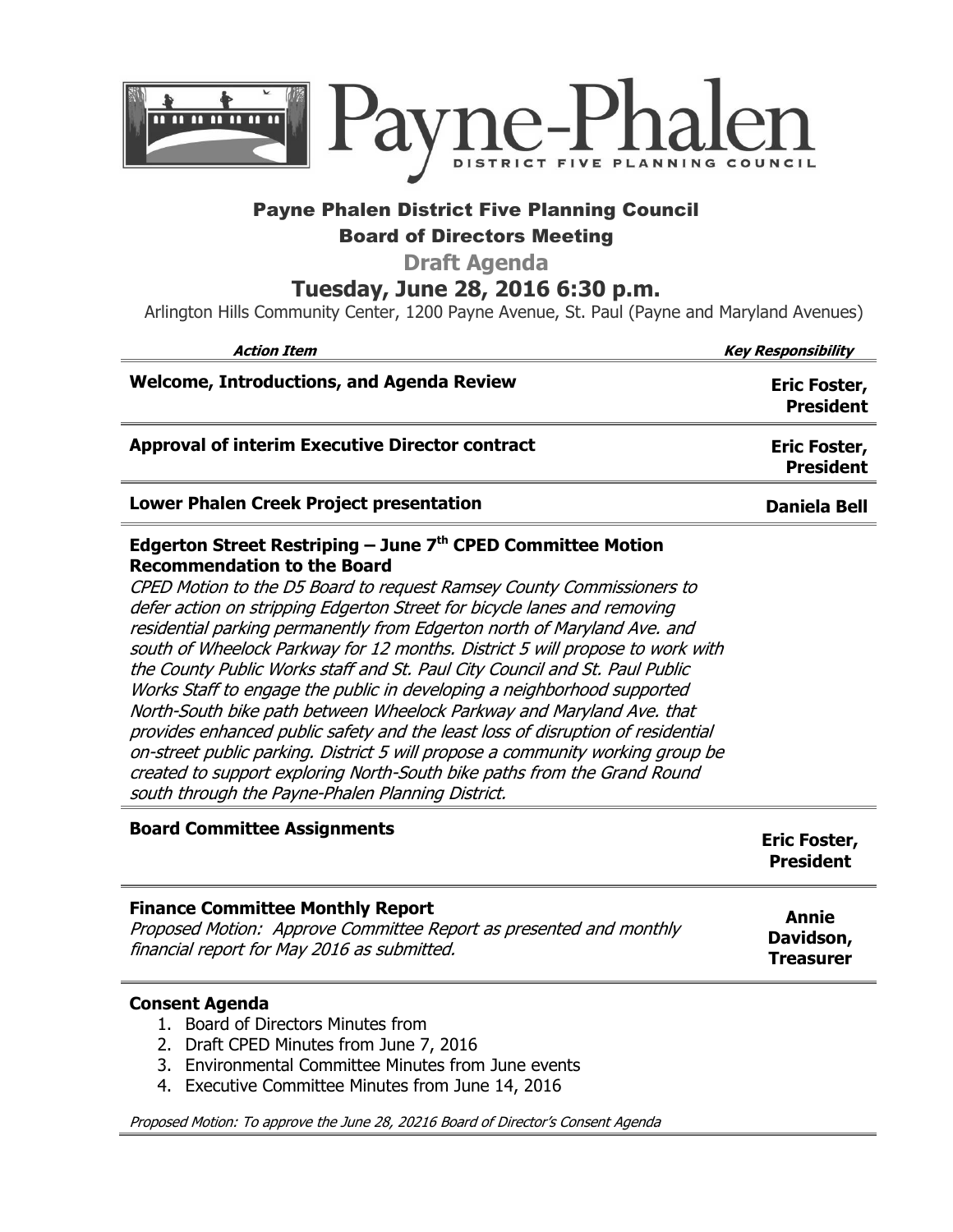

## Payne Phalen District Five Planning Council Board of Directors Meeting

**Draft Agenda** 

**Tuesday, June 28, 2016 6:30 p.m.**

Arlington Hills Community Center, 1200 Payne Avenue, St. Paul (Payne and Maryland Avenues)

| <b>Action Item</b>                                                                                                                                                                                                                                                                                                                                                                                                                                                                                                                                                                                                                                                                                                                                                                                                                                                                                                                                             | <b>Key Responsibility</b>        |
|----------------------------------------------------------------------------------------------------------------------------------------------------------------------------------------------------------------------------------------------------------------------------------------------------------------------------------------------------------------------------------------------------------------------------------------------------------------------------------------------------------------------------------------------------------------------------------------------------------------------------------------------------------------------------------------------------------------------------------------------------------------------------------------------------------------------------------------------------------------------------------------------------------------------------------------------------------------|----------------------------------|
| <b>Welcome, Introductions, and Agenda Review</b>                                                                                                                                                                                                                                                                                                                                                                                                                                                                                                                                                                                                                                                                                                                                                                                                                                                                                                               | Eric Foster,<br><b>President</b> |
| <b>Approval of interim Executive Director contract</b>                                                                                                                                                                                                                                                                                                                                                                                                                                                                                                                                                                                                                                                                                                                                                                                                                                                                                                         | Eric Foster,<br><b>President</b> |
| Lower Phalen Creek Project presentation                                                                                                                                                                                                                                                                                                                                                                                                                                                                                                                                                                                                                                                                                                                                                                                                                                                                                                                        | <b>Daniela Bell</b>              |
| Edgerton Street Restriping – June $7th$ CPED Committee Motion<br><b>Recommendation to the Board</b><br>CPED Motion to the D5 Board to request Ramsey County Commissioners to<br>defer action on stripping Edgerton Street for bicycle lanes and removing<br>residential parking permanently from Edgerton north of Maryland Ave. and<br>south of Wheelock Parkway for 12 months. District 5 will propose to work with<br>the County Public Works staff and St. Paul City Council and St. Paul Public<br>Works Staff to engage the public in developing a neighborhood supported<br>North-South bike path between Wheelock Parkway and Maryland Ave. that<br>provides enhanced public safety and the least loss of disruption of residential<br>on-street public parking. District 5 will propose a community working group be<br>created to support exploring North-South bike paths from the Grand Round<br>south through the Payne-Phalen Planning District. |                                  |
| <b>Board Committee Assignments</b>                                                                                                                                                                                                                                                                                                                                                                                                                                                                                                                                                                                                                                                                                                                                                                                                                                                                                                                             | <b>Eric Foster,</b>              |

|                                                                    | <b>EIIC FUSLEI,</b><br><b>President</b> |
|--------------------------------------------------------------------|-----------------------------------------|
| <b>Finance Committee Monthly Report</b>                            | Annie                                   |
| Proposed Motion: Approve Committee Report as presented and monthly | Davidson,                               |
| financial report for May 2016 as submitted.                        | <b>Treasurer</b>                        |

## **Consent Agenda**

- 1. Board of Directors Minutes from
- 2. Draft CPED Minutes from June 7, 2016
- 3. Environmental Committee Minutes from June events
- 4. Executive Committee Minutes from June 14, 2016

Proposed Motion: To approve the June 28, 20216 Board of Director's Consent Agenda